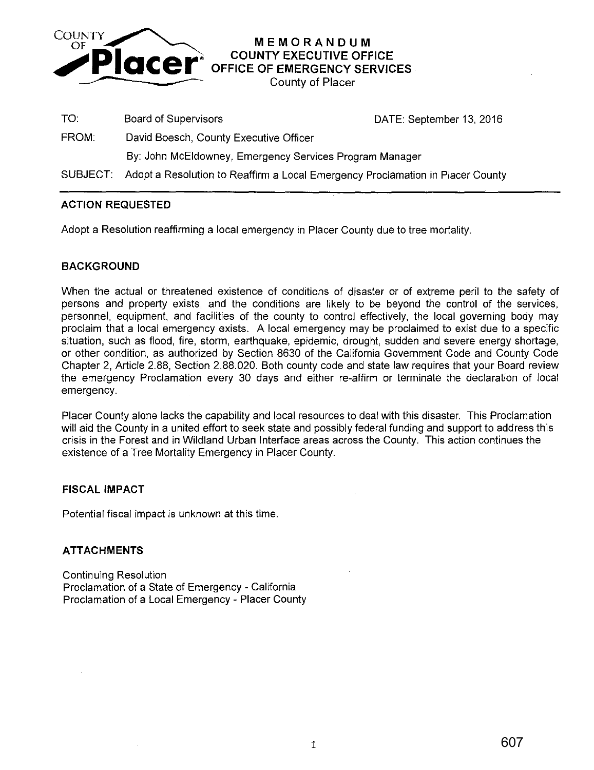

**MEMORANDUM COUNTY EXECUTIVE OFFICE OFFICE OF EMERGENCY SERVICES** 

County of Placer

TO: Board of Supervisors **DATE:** September 13, 2016

FROM: David Boesch, County Executive Officer

By: John McEldowney, Emergency Services Program Manager

SUBJECT: Adopt a Resolution to Reaffirm a Local Emergency Proclamation in Placer County

# **ACTION REQUESTED**

Adopt a Resolution reaffirming a local emergency in Placer County due to tree mortality.

#### **BACKGROUND**

When the actual or threatened existence of conditions of disaster or of extreme peril to the safety of persons and property exists, and the conditions are likely to be beyond the control of the services, personnel, equipment, and facilities of the county to control effectively, the local governing body may proclaim that a local emergency exists. A local emergency may be proclaimed to exist due to a specific situation, such as flood, fire, storm, earthquake, epidemic, drought, sudden and severe energy shortage, or other condition, as authorized by Section 8630 of the California Government Code and County Code Chapter 2, Article 2.88, Section 2.88.020. Both county code and state law requires that your Board review the emergency Proclamation every 30 days and either re-affirm or terminate the declaration of local emergency.

Placer County alone lacks the capability and local resources to deal with this disaster. This Proclamation will aid the County in a united effort to seek state and possibly federal funding and support to address this crisis in the Forest and in Wildland Urban Interface areas across the County. This action continues the existence of a Tree Mortality Emergency in Placer County.

# **FISCAL IMPACT**

Potential fiscal impact is unknown at this time.

# **ATTACHMENTS**

Continuing Resolution Proclamation of a State of Emergency - California Proclamation of a Local Emergency - Placer County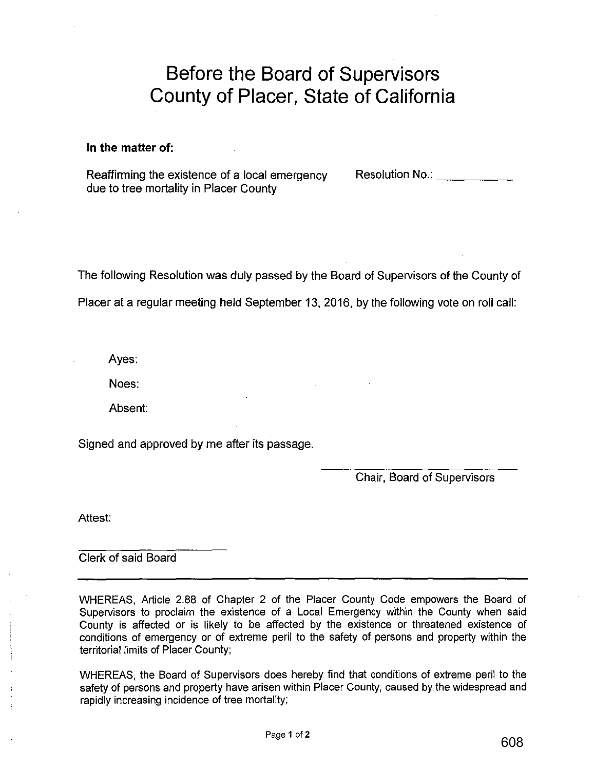# **Before the Board of Supervisors County of Placer, State of California**

#### **In the matter of:**

Reaffirming the existence of a local emergency due to tree mortality in Placer County

Resolution No.: \_\_\_\_\_ \_

The following Resolution was duly passed by the Board of Supervisors of the County of Placer at a regular meeting held September 13, 2016, by the following vote on roll call:

Ayes:

Noes:

Absent:

Signed and approved by me after its passage.

Chair, Board of Supervisors

Attest:

Clerk of said Board

WHEREAS, Article 2.88 of Chapter 2 of the Placer County Code empowers the Board of Supervisors to proclaim the existence of a Local Emergency within the County when said County is affected or is likely to be affected by the existence or threatened existence of conditions of emergency or of extreme peril to the safety of persons and property within the territorial limits of Placer County;

WHEREAS, the Board of Supervisors does hereby find that conditions of extreme peril to the safety of persons and property have arisen within Placer County, caused by the widespread and rapidly increasing incidence of tree mortality;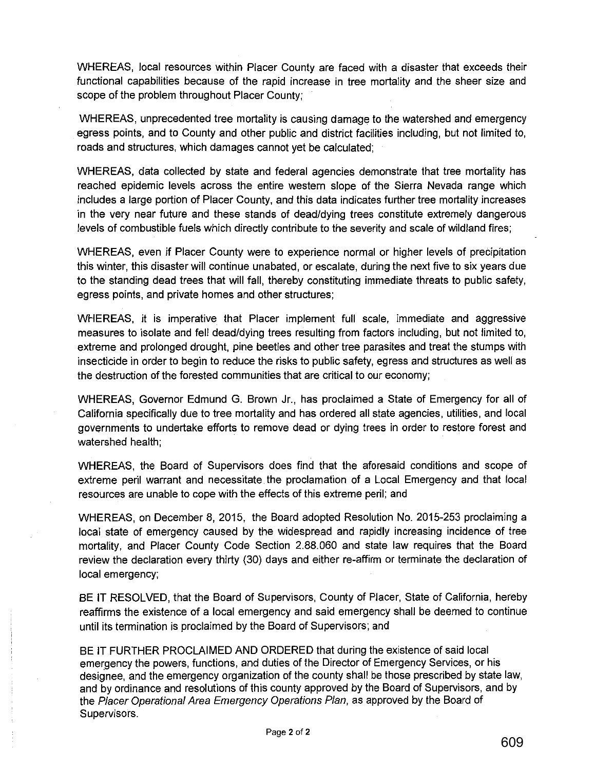WHEREAS, local resources within Placer County are faced with a disaster that exceeds their functional capabilities because of the rapid increase in tree mortality and the sheer size and scope of the problem throughout Placer County;

WHEREAS, unprecedented tree mortality is causing damage to the watershed and emergency egress points, and to County and other public and district facilities including, but not limited to, roads and structures, which damages cannot yet be calculated;

WHEREAS, data collected by state and federal agencies demonstrate that tree mortality has reached epidemic levels across the entire western slope of the Sierra Nevada range which includes a large portion of Placer County, and this data indicates further tree mortality increases in the very near future and these stands of dead/dying trees constitute extremely dangerous levels of combustible fuels which directly contribute to the severity and scale of wildland fires;

WHEREAS, even if Placer County were to experience normal or higher levels of precipitation this winter, this disaster will continue unabated, or escalate, during the next five to six years due to the standing dead trees that will fall, thereby constituting immediate threats to public safety, egress points, and private homes and other structures;

WHEREAS, it is imperative that Placer implement full scale, immediate and aggressive measures to isolate and fell dead/dying trees resulting from factors including, but not limited to, extreme and prolonged drought, pine beetles and other tree parasites and treat the stumps with insecticide in order to begin to reduce the risks to public safety, egress and structures as well as the destruction of the forested communities that are critical to our economy;

WHEREAS, Governor Edmund G. Brown Jr., has proclaimed a State of Emergency for all of California specifically due to tree mortality and has ordered all state agencies, utilities, and local governments to undertake efforts to remove dead or dying trees in order to restore forest and watershed health;

WHEREAS, the Board of Supervisors does find that the aforesaid conditions and scope of extreme peril warrant and necessitate the proclamation of a Local Emergency and that local resources are unable to cope with the effects of this extreme peril; and

WHEREAS, on December 8, 2015, the Board adopted Resolution No. 2015-253 proclaiming a local state of emergency caused by the widespread and rapidly increasing incidence of tree mortality, and Placer County Code Section 2.88.060 and state law requires that the Board review the declaration every thirty (30) days and either re-affirm or terminate the declaration of local emergency;

BE IT RESOLVED, that the Board of Supervisors, County of Placer, State of California, hereby reaffirms the existence of a local emergency and said emergency shall be deemed to continue until its termination is proclaimed by the Board of Supervisors; and

BE IT FURTHER PROCLAIMED AND ORDERED that during the existence of said local emergency the powers, functions, and duties of the Director of Emergency Services, or his designee, and the emergency organization of the county shall be those prescribed by state law, and by ordinance and resolutions of this county approved by the Board of Supervisors, and by the Placer Operational Area Emergency Operations Plan, as approved by the Board of Supervisors.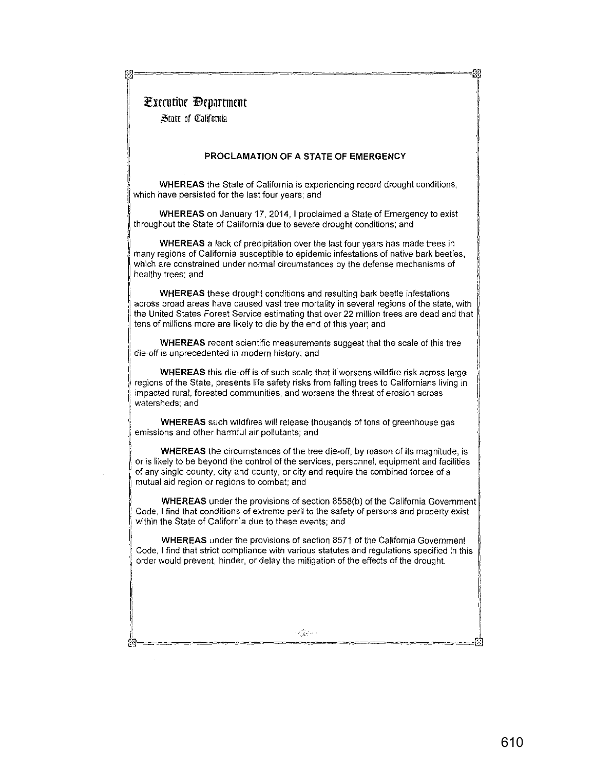# **Executive Department**  $\parallel$

State of California

 $\vert$  $\vert$ I I I

1

ji 1:

#### **PROCLAMATION OF A STATE OF EMERGENCY**

rn================~~~====== ~=====[\$

<sup>~</sup>**WHEREAS** the State of California is experiencing record drought conditions, ~~ which have persisted for the last four years; and

WHEREAS on January 17, 2014, I proclaimed a State of Emergency to exist throughout the State of California due to severe drought conditions; and

**WHEREAS** a lack of precipitation over the last four years has made trees in many regions of California susceptible to epidemic infestations of native bark beetles, which are constrained under normal circumstances by the defense mechanisms of healthy trees; and

WHEREAS these drought conditions and resulting bark beetle infestations **across broad areas have caused vast tree mortality in several regions of the state, with** j the United States Forest Service estimating that over 22 million trees are dead and that <sup>1</sup> tens of millions more are likely to die by the end of this year; and

**WHEREAS** recent scientific measurements suggest that the scale of this tree **die-off is unprecedented in modern history; and** j

<sup>1</sup>**WHEREAS** this die-off is of such scale that it worsens wildfire risk across large regions of the State, presents life safety risks from falling trees to Californians living in **impacted rural, forested communities, and worsens the threat of erosion across**  watersheds; and

, **WHEREAS** such wildfires will release thousands of tons of greenhouse gas emissions and other harmful air pollutants; and

**WHEREAS** the circumstances of the tree die-off, by reason of its magnitude, is or is likely to be beyond the control of the services, personnel, equipment and facilities of any single county, city and county, or city and require the combined forces of a **mutual aid region or regions to combat; and** 

**WHEREAS** under the provisions of section 8558(b) of the California Government **Code, I find that conditions of extreme peril to the safety of persons and property exist**  within the State of California due to these events; and i

**WHEREAS** under the provisions of section 8571 of the California Government **Code, I find that strict compliance with various statutes and regulations specified in this**  order would prevent, hinder, or delay the mitigation of the effects of the drought

il li

!I

**I** 

 $\mathbb{I}$ I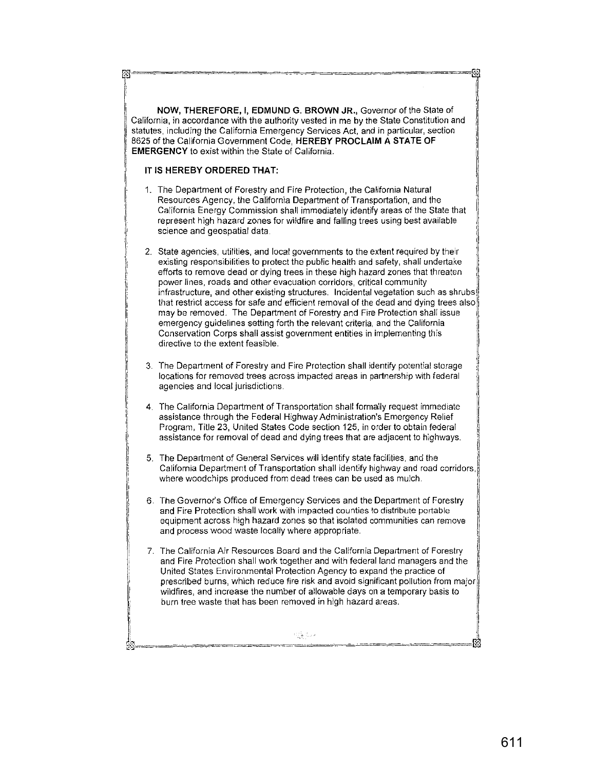**NOW, THEREFORE, I, EDMUND G. BROWN JR.,** Governor of the State of California, in accordance with the authority vested in me by the State Constitution and statutes, including the California Emergency Services Act, and in particular, section 8625 of the California Government Code, **HEREBY PROCLAIM A STATE OF EMERGENCY** to exist within the State of California.

#### **IT IS HEREBY ORDERED THAT:**

図

- 1. The Department of Forestry and Fire Protection, the California Natural Resources Agency, the California Department of Transportation, and the California Energy Commission shall immediately identify areas of the State that represent high hazard zones for wildfire and falling trees using best available science and geospatial data.
- 2. State agencies, utilities, and local governments to the extent required by their existing responsibilities to protect the public health and safety, shall undertake efforts to remove dead or dying trees in these high hazard zones that threaten **power lines, roads and other evacuation corridors, critical community infrastructure, and other existing structures. Incidental vegetation such as shrubs!**  that restrict access for safe and efficient removal of the dead and dying trees also may be removed. The Department of Forestry and Fire Protection shall issue emergency guidelines setting forth the relevant criteria, and the California Conservation Corps shall assist government entities in implementing this I directive to the extent feasible.
- 3. The Department of Forestry and Fire Protection shall identify potential storage **locations for removed trees across impacted areas in partnership with federal agencies and local jurisdictions.**
- 4. The California Department of Transportation shall formally request immediate assistance through the Federal Highway Administration's Emergency Relief Program, Title 23, United States Code section 125, in order to obtain federal assistance for removal of dead and dying trees that are adjacent to highways.
- $\parallel$ 5. The Department of General Services will identify state facilities. and the 1 California Department of Transportation shall identify highway and road corridors,! **where woodchips produced from dead trees can be used as mulch.** 1'
- 6. The Governors Office of Emergency Services and the Department of Forestry **and Fire Protection shall work with impacted counties to distribute portable**  equipment across high hazard zones so that isolated communities can remove and process wood waste locally where appropriate.
- **7. The California Air Resources Board and the California Department of Forestry**  and Fire Protection shall work together and with federal land managers and the United States Environmental Protection Agency to expand the practice of prescribed burns, which reduce fire risk and avoid significant pollution from major wildfires, and increase the number of allowable days on a temporary basis to burn tree waste that has been removed in high hazard areas.

무일 일대

 $\parallel$ I

ГQ

f)

lr I

l

 $\mathbf{I}$ 

====ffi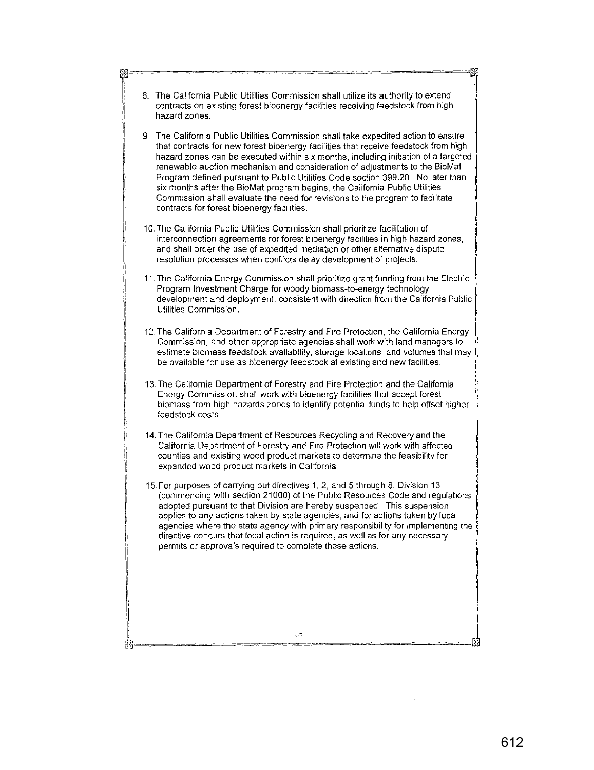| contracts on existing forest bioenergy facilities receiving feedstock from high<br>hazard zones.                                                                                                                                                                                                                                                                                                                                                                                                                                                                                                                                                |
|-------------------------------------------------------------------------------------------------------------------------------------------------------------------------------------------------------------------------------------------------------------------------------------------------------------------------------------------------------------------------------------------------------------------------------------------------------------------------------------------------------------------------------------------------------------------------------------------------------------------------------------------------|
| 9. The California Public Utilities Commission shall take expedited action to ensure<br>that contracts for new forest bioenergy facilities that receive feedstock from high<br>hazard zones can be executed within six months, including initiation of a targeted<br>renewable auction mechanism and consideration of adjustments to the BioMat<br>Program defined pursuant to Public Utilities Code section 399.20. No later than<br>six months after the BioMat program begins, the California Public Utilities<br>Commission shall evaluate the need for revisions to the program to facilitate<br>contracts for forest bioenergy facilities. |
| 10. The California Public Utilities Commission shall prioritize facilitation of<br>interconnection agreements for forest bioenergy facilities in high hazard zones,<br>and shall order the use of expedited mediation or other alternative dispute<br>resolution processes when conflicts delay development of projects.                                                                                                                                                                                                                                                                                                                        |
| 11. The California Energy Commission shall prioritize grant funding from the Electric<br>Program Investment Charge for woody biomass-to-energy technology<br>development and deployment, consistent with direction from the California Public<br>Utilities Commission.                                                                                                                                                                                                                                                                                                                                                                          |
| 12. The California Department of Forestry and Fire Protection, the California Energy<br>Commission, and other appropriate agencies shall work with land managers to<br>estimate biomass feedstock availability, storage locations, and volumes that may<br>be available for use as bioenergy feedstock at existing and new facilities.                                                                                                                                                                                                                                                                                                          |
| 13. The California Department of Forestry and Fire Protection and the California<br>Energy Commission shall work with bioenergy facilities that accept forest<br>biomass from high hazards zones to identify potential funds to help offset higher<br>feedstock costs.                                                                                                                                                                                                                                                                                                                                                                          |
| 14. The California Department of Resources Recycling and Recovery and the<br>California Department of Forestry and Fire Protection will work with affected<br>counties and existing wood product markets to determine the feasibility for<br>expanded wood product markets in California.                                                                                                                                                                                                                                                                                                                                                       |
| 15. For purposes of carrying out directives 1, 2, and 5 through 8, Division 13<br>(commencing with section 21000) of the Public Resources Code and regulations<br>adopted pursuant to that Division are hereby suspended. This suspension<br>applies to any actions taken by state agencies, and for actions taken by local<br>agencies where the state agency with primary responsibility for implementing the<br>directive concurs that local action is required, as well as for any necessary<br>permits or approvals required to complete these actions.                                                                                    |
|                                                                                                                                                                                                                                                                                                                                                                                                                                                                                                                                                                                                                                                 |
|                                                                                                                                                                                                                                                                                                                                                                                                                                                                                                                                                                                                                                                 |

 $\bar{\tau}$ 

 $\hat{\mathcal{L}}$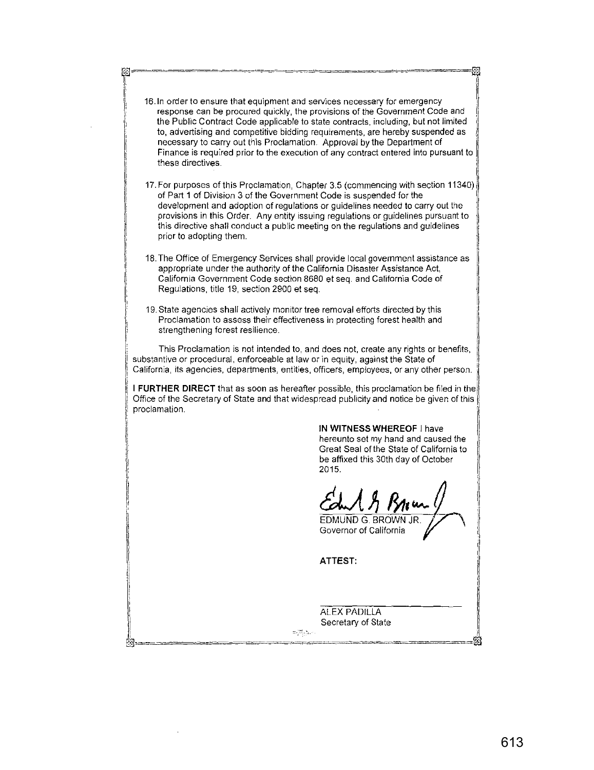r 16<br>|-<br>| 16 **16.ln order to ensure that equipment and services necessary for emergency response can be procured quickly, the provisions of the Government Code and**  the Public Contract Code applicable to state contracts, including, but not limited to, advertising and competitive bidding requirements, are hereby suspended as necessary to carry out this Proclamation. Approval by the Department of **Finance is required prior to the execution of any contract entered into pursuant to**  these directives. 17. For purposes of this Proclamation, Chapter 3.5 (commencing with section 11340) of Part 1 of Division 3 of the Government Code is suspended for the development and adoption of regulations or guidelines needed to carry out the provisions in this Order. Any entity issuing regulations or guidelines pursuant to this directive shall conduct a public meeting on the regulations and guidelines prior to adopting them. 18. The Office of Emergency Services shall provide local government assistance as appropriate under the authority of the California Disaster Assistance Act, California Government Code section 8680 et seq. and California Code of Regulations, title 19, section 2900 et seq. 19. State agencies shall actively monitor tree removal efforts directed by this **Proclamation to assess their effectiveness in protecting forest health and**  strengthening forest resilience. This Proclamation is not intended to, and does not, create any rights or benefits, substantive or procedural, enforceable at law or in equity, against the State of **California, its agencies, departments, entities, officers, employees, or any other person.** <sup>I</sup>'  $\parallel$ **I FURTHER DIRECT** that as soon as hereafter possible, this proclamation be filed in the Office of the Secretary of State and that widespread publicity and notice be given of this , proclamation. **IN WITNESS WHEREOF** I have hereunto set my hand and caused the  $\parallel$ Great Seal of the State of California to be affixed this 30th day of October 2015. II EDMUND G. BROWN JR EDMUND G. BROWN JR.<br>Governor of California **ATTEST:**  ALEX PADILLA Secretary of State  $\label{eq:2} \Xi_{\mathcal{F}}\Big\} \frac{\partial \mathcal{A}}{\partial \mathcal{F}_{\mathcal{F}}}\Big\|_{\mathcal{F}} \leq \epsilon \epsilon \, ,$ i' ®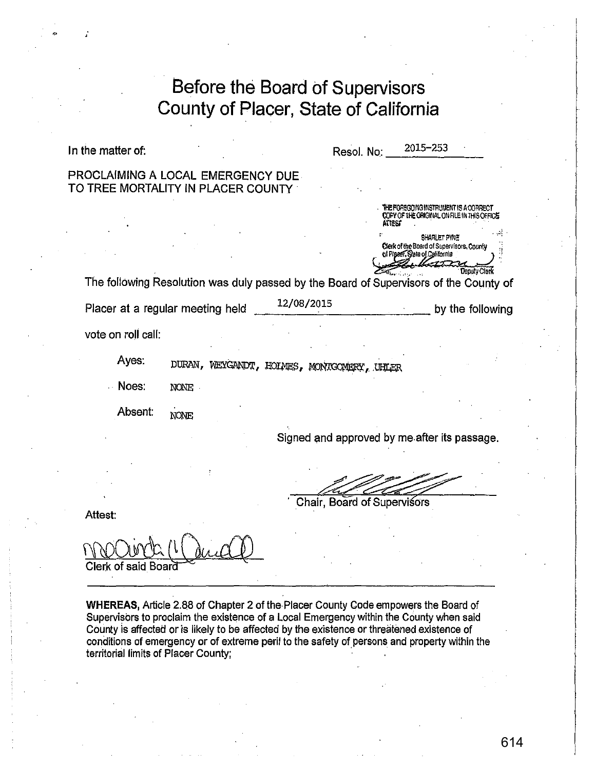| In the matter of:  |                                                                                       |            | Resol. No:                  | 2015-253                                                                                    |                  |
|--------------------|---------------------------------------------------------------------------------------|------------|-----------------------------|---------------------------------------------------------------------------------------------|------------------|
|                    | PROCLAIMING A LOCAL EMERGENCY DUE<br>TO TREE MORTALITY IN PLACER COUNTY               |            |                             |                                                                                             |                  |
|                    |                                                                                       |            |                             | HE FOREGOING INSTRUMENT IS A CORRECT<br>COPY OF THE ORIGINAL ON FILE IN THIS OFFICE         |                  |
|                    |                                                                                       |            |                             | SHARLET PYNE<br>Clerk of the Board of Supervisors, County<br>of Placer, State of California |                  |
|                    | The following Resolution was duly passed by the Board of Supervisors of the County of |            |                             |                                                                                             | Deputy Clerk     |
|                    | Placer at a regular meeting held                                                      | 12/08/2015 |                             |                                                                                             | by the following |
| vote on roll call: |                                                                                       |            |                             |                                                                                             |                  |
| Ayes:              | DURAN, WEYGANDT, HOIMES, MONTGOMERY, UHLER                                            |            |                             |                                                                                             |                  |
|                    |                                                                                       |            |                             |                                                                                             |                  |
| Noes:              | NONE.                                                                                 |            |                             |                                                                                             |                  |
| Absent:            | NONE                                                                                  |            |                             |                                                                                             |                  |
|                    |                                                                                       |            |                             | Signed and approved by me after its passage.                                                |                  |
|                    |                                                                                       |            |                             |                                                                                             |                  |
| Attest:            |                                                                                       |            | Chair, Board of Supervisors |                                                                                             |                  |

•

Supervisors to proclaim the existence of a Local Emergency within the County when said County is affected or is likely to be affected by the existence or threatened existence of conditions of emergency or of extreme peril to the safety of persons and property within the territorial limits of Placer County; · ·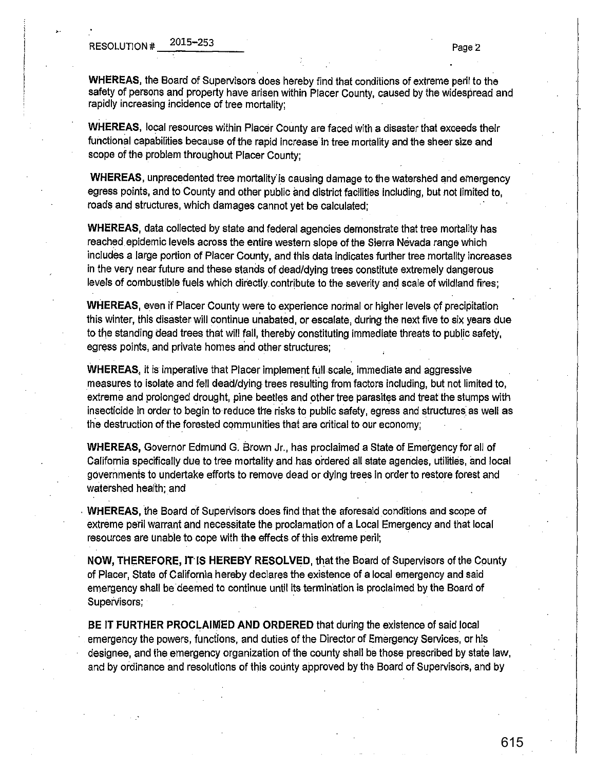•·

**WHEREAS,** the Board of Supervisors does hereby find that conditions of extreme peril to the safety of persons and property have arisen within Placer County, caused by the widespread and rapidly increasing incidence of tree mortality;

**WHEREAS,** local resources within Placer County are faced with a disaster that exceeds their functional capabilities because of the rapid increase in tree mortality and the sheer size and scope of the problem throughout Placer County;

**WHEREAS,** unprecedented tree mortality' is causing damage to the watershed and emergency egress points, and to County and other public and district facilities including, but not limited to, roads and structures, which damages cannot yet be calculated;

**WHEREAS,** data collected by state and federal agencies demonstrate that tree mortality has reached epidemic levels across the entire western slope of the Sierra Nevada range which includes a large portion of Placer County, and this data indicates further tree mortality increases in the very near future and these stands of dead/dying trees constitute extremely dangerous levels of combustible fuels which directly contribute to the severity and scale of wildland fires;

**WHEREAS, even if Placer County were to experience normal or higher levels of precipitation** this winter, this disaster will continue unabated, or escalate, during the next five to six years due to the standing dead trees that will fall, thereby constituting immediate threats to public safety, egress points, and private homes and other structures;

**WHEREAS.,** it is imperative that Placer implement full scale, immediate and aggressive measures to isolate and fell dead/dying trees resulting from factors including, but not limited to, extreme and prolonged drought, pine beetles and other tree parasites and treat the stumps with insecticide in order to begin to reduce the risks to public safety, egress and structures as well as the destruction of the forested communities that are critical to our economy;

**WHEREAS,** Governor Edmund G. Brown Jr., has proclaimed a State of Emergency for all of California specifically due to tree mortality and has ordered all state agencies, utilities, and local governments to undertake efforts to remove dead or dying trees in order to restore forest and watershed health; and

**WHEREAS, the Board of Supervisors does find that the aforesaid conditions and scope of** extreme peril warrant and necessitate the proclamation of a Local Emergency and that local resources are unable to cope with the effects of this extreme peril;

**NOW, THEREFORE, IT'IS HEREBY RESOLVED,** that the Board of Supervisors of the County of Placer, State of California hereby declares the existence of a local emergency and said emergency shall be deemed to continue until its termination is proClaimed by the Board of Supervisors;

**BE IT FURTHER PROCLAIMED AND ORDERED** that during the existence of said local emergency the powers, funciions, and duties of the Director of Emergency Services, or his designee, and the emergency organization of the county shall be those prescribed by state Jaw, and by ordinance and resolutions of this county approved by the Board of Supervisors, and by